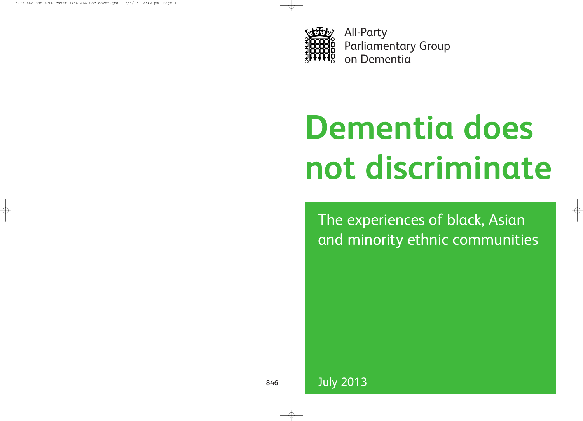

All-Party Parliamentary Group on Dementia

# **Dementia does not discriminate**

The experiences of black, Asian and minority ethnic communities

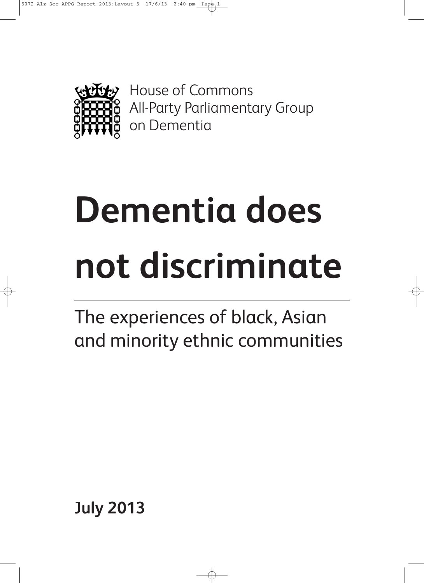

House of Commons All-Party Parliamentary Group on Dementia

# **Dementia does not discriminate**

The experiences of black, Asian and minority ethnic communities

**July 2013**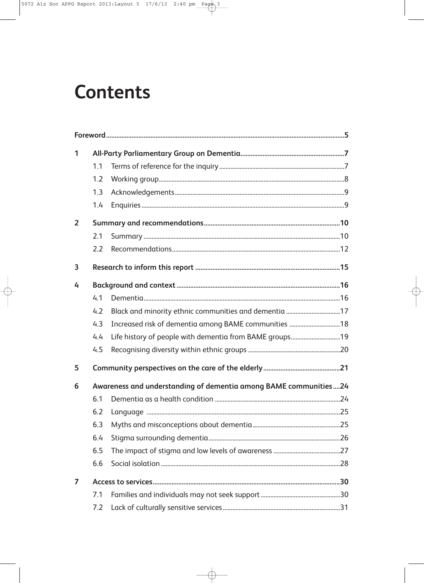## **Contents**

| 1              |                                                                  |                                                       |  |  |
|----------------|------------------------------------------------------------------|-------------------------------------------------------|--|--|
|                | 1.1                                                              |                                                       |  |  |
|                | 1.2                                                              |                                                       |  |  |
|                | 1.3                                                              |                                                       |  |  |
|                | 1.4                                                              |                                                       |  |  |
| $\overline{2}$ |                                                                  |                                                       |  |  |
|                | 2.1                                                              |                                                       |  |  |
|                | 2.2                                                              |                                                       |  |  |
| 3              |                                                                  |                                                       |  |  |
| 4              |                                                                  |                                                       |  |  |
|                | 4.1                                                              |                                                       |  |  |
|                | 4.2                                                              | Black and minority ethnic communities and dementia 17 |  |  |
|                | 4.3                                                              | Increased risk of dementia among BAME communities  18 |  |  |
|                | 4.4                                                              |                                                       |  |  |
|                | 4.5                                                              |                                                       |  |  |
| 5              |                                                                  |                                                       |  |  |
| 6              | Awareness and understanding of dementia among BAME communities24 |                                                       |  |  |
|                | 6.1                                                              |                                                       |  |  |
|                | 6.2                                                              |                                                       |  |  |
|                | 6.3                                                              |                                                       |  |  |
|                | 6.4                                                              |                                                       |  |  |
|                | 6.5                                                              |                                                       |  |  |
|                | 6.6                                                              |                                                       |  |  |
| 7              |                                                                  |                                                       |  |  |
|                | 7.1                                                              |                                                       |  |  |
|                | 7.2                                                              |                                                       |  |  |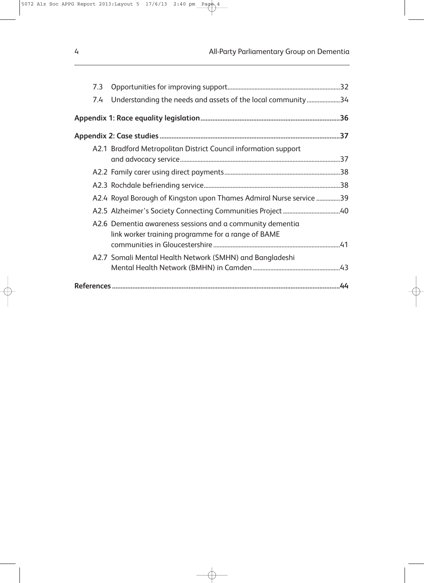| 7.3 |                                                                                                                 |  |  |
|-----|-----------------------------------------------------------------------------------------------------------------|--|--|
| 7.4 | Understanding the needs and assets of the local community34                                                     |  |  |
|     |                                                                                                                 |  |  |
|     |                                                                                                                 |  |  |
|     | A2.1 Bradford Metropolitan District Council information support                                                 |  |  |
|     |                                                                                                                 |  |  |
|     |                                                                                                                 |  |  |
|     | A2.4 Royal Borough of Kingston upon Thames Admiral Nurse service 39                                             |  |  |
|     |                                                                                                                 |  |  |
|     | A2.6 Dementia awareness sessions and a community dementia<br>link worker training programme for a range of BAME |  |  |
|     | A2.7 Somali Mental Health Network (SMHN) and Bangladeshi                                                        |  |  |
|     |                                                                                                                 |  |  |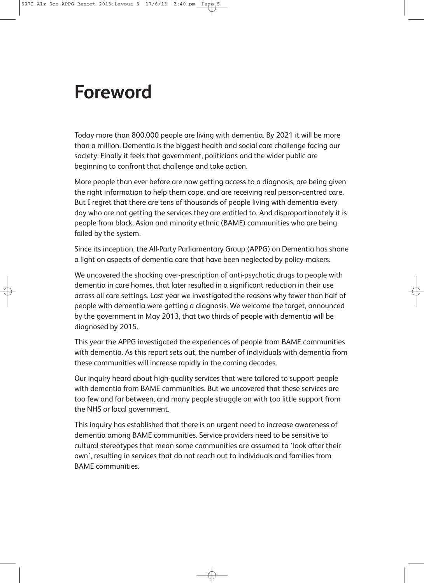## **Foreword**

Today more than 800,000 people are living with dementia. By 2021 it will be more than a million. Dementia is the biggest health and social care challenge facing our society. Finally it feels that government, politicians and the wider public are beginning to confront that challenge and take action.

More people than ever before are now getting access to a diagnosis, are being given the right information to help them cope, and are receiving real person-centred care. But I regret that there are tens of thousands of people living with dementia every day who are not getting the services they are entitled to. And disproportionately it is people from black, Asian and minority ethnic (BAME) communities who are being failed by the system.

Since its inception, the All-Party Parliamentary Group (APPG) on Dementia has shone a light on aspects of dementia care that have been neglected by policy-makers.

We uncovered the shocking over-prescription of anti-psychotic drugs to people with dementia in care homes, that later resulted in a significant reduction in their use across all care settings. Last year we investigated the reasons why fewer than half of people with dementia were getting a diagnosis. We welcome the target, announced by the government in May 2013, that two thirds of people with dementia will be diagnosed by 2015.

This year the APPG investigated the experiences of people from BAME communities with dementia. As this report sets out, the number of individuals with dementia from these communities will increase rapidly in the coming decades.

Our inquiry heard about high-quality services that were tailored to support people with dementia from BAME communities. But we uncovered that these services are too few and far between, and many people struggle on with too little support from the NHS or local government.

This inquiry has established that there is an urgent need to increase awareness of dementia among BAME communities. Service providers need to be sensitive to cultural stereotypes that mean some communities are assumed to 'look after their own', resulting in services that do not reach out to individuals and families from BAME communities.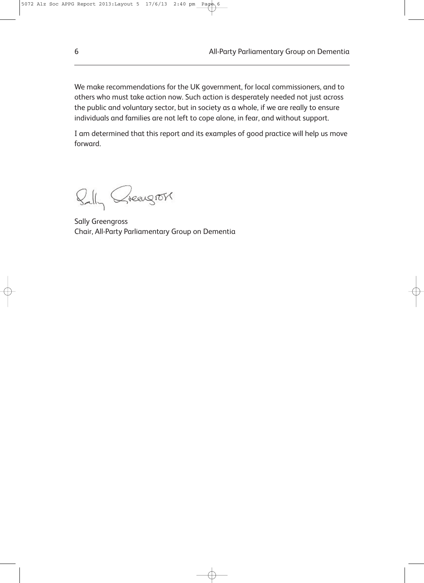We make recommendations for the UK government, for local commissioners, and to others who must take action now. Such action is desperately needed not just across the public and voluntary sector, but in society as a whole, if we are really to ensure individuals and families are not left to cope alone, in fear, and without support.

I am determined that this report and its examples of good practice will help us move forward.

Bally Greengross

Sally Greengross Chair, All-Party Parliamentary Group on Dementia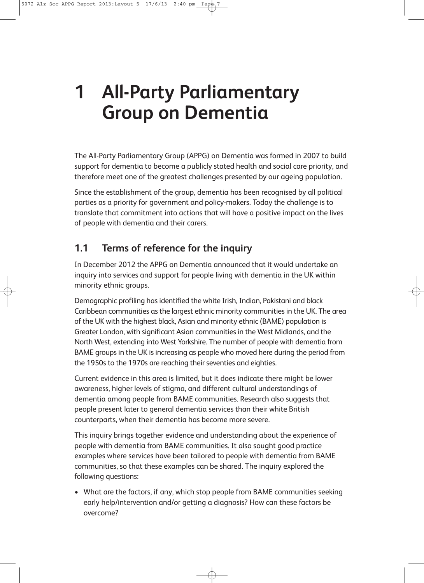# **1 All-Party Parliamentary Group on Dementia**

The All-Party Parliamentary Group (APPG) on Dementia was formed in 2007 to build support for dementia to become a publicly stated health and social care priority, and therefore meet one of the greatest challenges presented by our ageing population.

Since the establishment of the group, dementia has been recognised by all political parties as a priority for government and policy-makers. Today the challenge is to translate that commitment into actions that will have a positive impact on the lives of people with dementia and their carers.

#### **1.1 Terms of reference for the inquiry**

In December 2012 the APPG on Dementia announced that it would undertake an inquiry into services and support for people living with dementia in the UK within minority ethnic groups.

Demographic profiling has identified the white Irish, Indian, Pakistani and black Caribbean communities as the largest ethnic minority communities in the UK. The area of the UK with the highest black, Asian and minority ethnic (BAME) population is Greater London, with significant Asian communities in the West Midlands, and the North West, extending into West Yorkshire. The number of people with dementia from BAME groups in the UK is increasing as people who moved here during the period from the 1950s to the 1970s are reaching their seventies and eighties.

Current evidence in this area is limited, but it does indicate there might be lower awareness, higher levels of stigma, and different cultural understandings of dementia among people from BAME communities. Research also suggests that people present later to general dementia services than their white British counterparts, when their dementia has become more severe.

This inquiry brings together evidence and understanding about the experience of people with dementia from BAME communities. It also sought good practice examples where services have been tailored to people with dementia from BAME communities, so that these examples can be shared. The inquiry explored the following questions:

• What are the factors, if any, which stop people from BAME communities seeking early help/intervention and/or getting a diagnosis? How can these factors be overcome?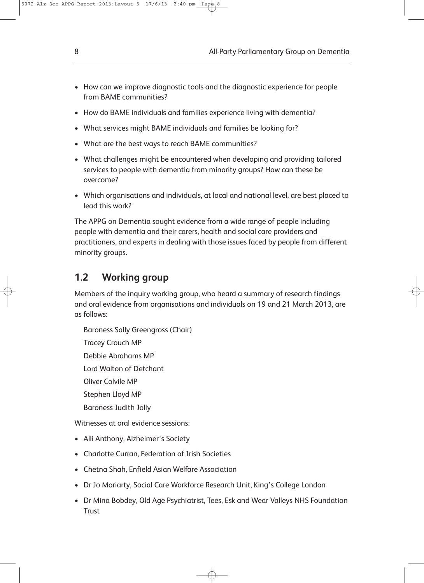- How can we improve diagnostic tools and the diagnostic experience for people from BAME communities?
- How do BAME individuals and families experience living with dementia?
- What services might BAME individuals and families be looking for?
- What are the best ways to reach BAME communities?
- What challenges might be encountered when developing and providing tailored services to people with dementia from minority groups? How can these be overcome?
- Which organisations and individuals, at local and national level, are best placed to lead this work?

The APPG on Dementia sought evidence from a wide range of people including people with dementia and their carers, health and social care providers and practitioners, and experts in dealing with those issues faced by people from different minority groups.

#### **1.2 Working group**

Members of the inquiry working group, who heard a summary of research findings and oral evidence from organisations and individuals on 19 and 21 March 2013, are as follows:

Baroness Sally Greengross (Chair) Tracey Crouch MP Debbie Abrahams MP Lord Walton of Detchant Oliver Colvile MP Stephen Lloyd MP Baroness Judith Jolly

Witnesses at oral evidence sessions:

- Alli Anthony, Alzheimer's Society
- Charlotte Curran, Federation of Irish Societies
- Chetna Shah, Enfield Asian Welfare Association
- Dr Jo Moriarty, Social Care Workforce Research Unit, King's College London
- Dr Mina Bobdey, Old Age Psychiatrist, Tees, Esk and Wear Valleys NHS Foundation **Trust**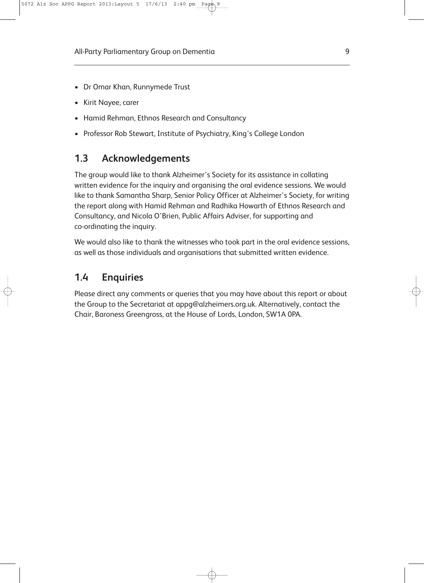- Dr Omar Khan, Runnymede Trust
- Kirit Nayee, carer
- Hamid Rehman, Ethnos Research and Consultancy
- Professor Rob Stewart, Institute of Psychiatry, King's College London

#### **1.3 Acknowledgements**

The group would like to thank Alzheimer's Society for its assistance in collating written evidence for the inquiry and organising the oral evidence sessions. We would like to thank Samantha Sharp, Senior Policy Officer at Alzheimer's Society, for writing the report along with Hamid Rehman and Radhika Howarth of Ethnos Research and Consultancy, and Nicola O'Brien, Public Affairs Adviser, for supporting and co-ordinating the inquiry.

We would also like to thank the witnesses who took part in the oral evidence sessions, as well as those individuals and organisations that submitted written evidence.

#### **1.4 Enquiries**

Please direct any comments or queries that you may have about this report or about the Group to the Secretariat at appg@alzheimers.org.uk. Alternatively, contact the Chair, Baroness Greengross, at the House of Lords, London, SW1A 0PA.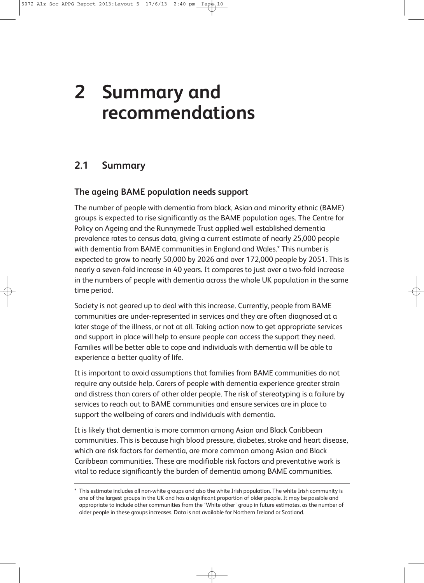# **2 Summary and recommendations**

#### **2.1 Summary**

#### **The ageing BAME population needs support**

The number of people with dementia from black, Asian and minority ethnic (BAME) groups is expected to rise significantly as the BAME population ages. The Centre for Policy on Ageing and the Runnymede Trust applied well established dementia prevalence rates to census data, giving a current estimate of nearly 25,000 people with dementia from BAME communities in England and Wales.\* This number is expected to grow to nearly 50,000 by 2026 and over 172,000 people by 2051. This is nearly a seven-fold increase in 40 years. It compares to just over a two-fold increase in the numbers of people with dementia across the whole UK population in the same time period.

Society is not geared up to deal with this increase. Currently, people from BAME communities are under-represented in services and they are often diagnosed at a later stage of the illness, or not at all. Taking action now to get appropriate services and support in place will help to ensure people can access the support they need. Families will be better able to cope and individuals with dementia will be able to experience a better quality of life.

It is important to avoid assumptions that families from BAME communities do not require any outside help. Carers of people with dementia experience greater strain and distress than carers of other older people. The risk of stereotyping is a failure by services to reach out to BAME communities and ensure services are in place to support the wellbeing of carers and individuals with dementia.

It is likely that dementia is more common among Asian and Black Caribbean communities. This is because high blood pressure, diabetes, stroke and heart disease, which are risk factors for dementia, are more common among Asian and Black Caribbean communities. These are modifiable risk factors and preventative work is vital to reduce significantly the burden of dementia among BAME communities.

<sup>\*</sup> This estimate includes all non-white groups and also the white Irish population. The white Irish community is one of the largest groups in the UK and has a significant proportion of older people. It may be possible and appropriate to include other communities from the 'White other' group in future estimates, as the number of older people in these groups increases. Data is not available for Northern Ireland or Scotland.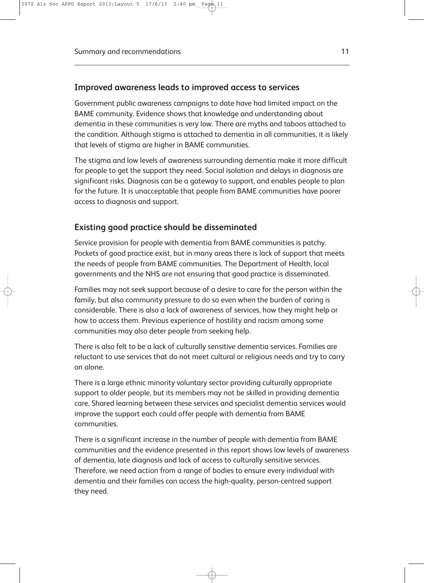#### **Improved awareness leads to improved access to services**

Government public awareness campaigns to date have had limited impact on the BAME community. Evidence shows that knowledge and understanding about dementia in these communities is very low. There are myths and taboos attached to the condition. Although stigma is attached to dementia in all communities, it is likely that levels of stigma are higher in BAME communities.

The stigma and low levels of awareness surrounding dementia make it more difficult for people to get the support they need. Social isolation and delays in diagnosis are significant risks. Diagnosis can be a gateway to support, and enables people to plan for the future. It is unacceptable that people from BAME communities have poorer access to diagnosis and support.

#### **Existing good practice should be disseminated**

Service provision for people with dementia from BAME communities is patchy. Pockets of good practice exist, but in many areas there is lack of support that meets the needs of people from BAME communities. The Department of Health, local governments and the NHS are not ensuring that good practice is disseminated.

Families may not seek support because of a desire to care for the person within the family, but also community pressure to do so even when the burden of caring is considerable. There is also a lack of awareness of services, how they might help or how to access them. Previous experience of hostility and racism among some communities may also deter people from seeking help.

There is also felt to be a lack of culturally sensitive dementia services. Families are reluctant to use services that do not meet cultural or religious needs and try to carry on alone.

There is a large ethnic minority voluntary sector providing culturally appropriate support to older people, but its members may not be skilled in providing dementia care. Shared learning between these services and specialist dementia services would improve the support each could offer people with dementia from BAME communities.

There is a significant increase in the number of people with dementia from BAME communities and the evidence presented in this report shows low levels of awareness of dementia, late diagnosis and lack of access to culturally sensitive services. Therefore, we need action from a range of bodies to ensure every individual with dementia and their families can access the high-quality, person-centred support they need.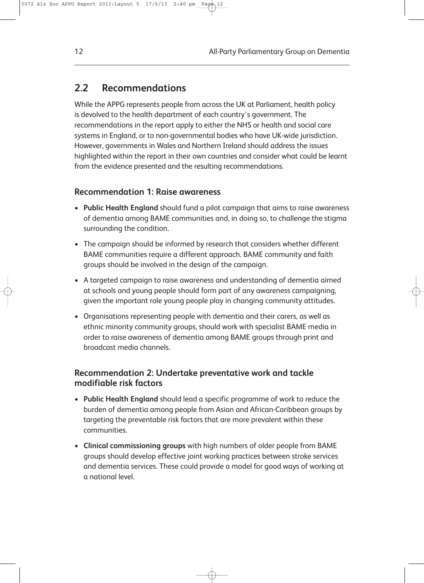#### **2.2 Recommendations**

While the APPG represents people from across the UK at Parliament, health policy is devolved to the health department of each country's government. The recommendations in the report apply to either the NHS or health and social care systems in England, or to non-governmental bodies who have UK-wide jurisdiction. However, governments in Wales and Northern Ireland should address the issues highlighted within the report in their own countries and consider what could be learnt from the evidence presented and the resulting recommendations.

#### **Recommendation 1: Raise awareness**

- **Public Health England** should fund a pilot campaign that aims to raise awareness of dementia among BAME communities and, in doing so, to challenge the stigma surrounding the condition.
- The campaign should be informed by research that considers whether different BAME communities require a different approach. BAME community and faith groups should be involved in the design of the campaign.
- A targeted campaign to raise awareness and understanding of dementia aimed at schools and young people should form part of any awareness campaigning, given the important role young people play in changing community attitudes.
- Organisations representing people with dementia and their carers, as well as ethnic minority community groups, should work with specialist BAME media in order to raise awareness of dementia among BAME groups through print and broadcast media channels.

#### **Recommendation 2: Undertake preventative work and tackle modifiable risk factors**

- **Public Health England** should lead a specific programme of work to reduce the burden of dementia among people from Asian and African-Caribbean groups by targeting the preventable risk factors that are more prevalent within these communities.
- **Clinical commissioning groups** with high numbers of older people from BAME groups should develop effective joint working practices between stroke services and dementia services. These could provide a model for good ways of working at a national level.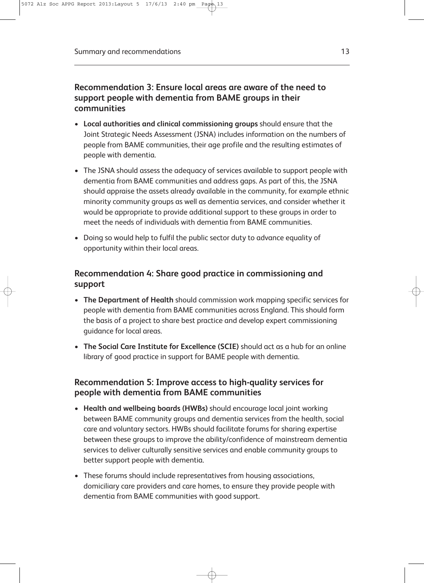#### **Recommendation 3: Ensure local areas are aware of the need to support people with dementia from BAME groups in their communities**

- **Local authorities and clinical commissioning groups** should ensure that the Joint Strategic Needs Assessment (JSNA) includes information on the numbers of people from BAME communities, their age profile and the resulting estimates of people with dementia.
- The JSNA should assess the adequacy of services available to support people with dementia from BAME communities and address gaps. As part of this, the JSNA should appraise the assets already available in the community, for example ethnic minority community groups as well as dementia services, and consider whether it would be appropriate to provide additional support to these groups in order to meet the needs of individuals with dementia from BAME communities.
- Doing so would help to fulfil the public sector duty to advance equality of opportunity within their local areas.

#### **Recommendation 4: Share good practice in commissioning and support**

- **The Department of Health** should commission work mapping specific services for people with dementia from BAME communities across England. This should form the basis of a project to share best practice and develop expert commissioning guidance for local areas.
- **The Social Care Institute for Excellence (SCIE)** should act as a hub for an online library of good practice in support for BAME people with dementia.

#### **Recommendation 5: Improve access to high-quality services for people with dementia from BAME communities**

- **Health and wellbeing boards (HWBs)** should encourage local joint working between BAME community groups and dementia services from the health, social care and voluntary sectors. HWBs should facilitate forums for sharing expertise between these groups to improve the ability/confidence of mainstream dementia services to deliver culturally sensitive services and enable community groups to better support people with dementia.
- These forums should include representatives from housing associations, domiciliary care providers and care homes, to ensure they provide people with dementia from BAME communities with good support.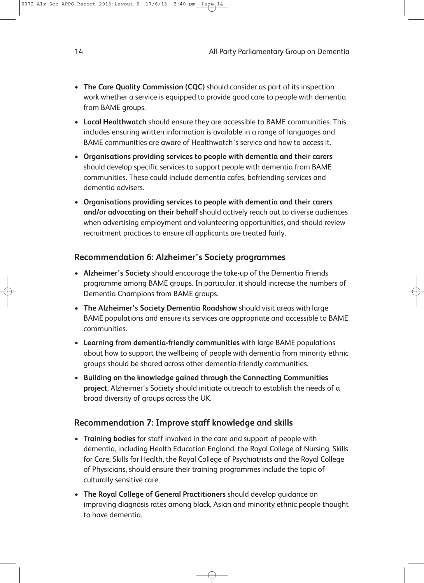- **The Care Quality Commission (CQC)** should consider as part of its inspection work whether a service is equipped to provide good care to people with dementia from BAME groups.
- **Local Healthwatch** should ensure they are accessible to BAME communities. This includes ensuring written information is available in a range of languages and BAME communities are aware of Healthwatch's service and how to access it.
- **Organisations providing services to people with dementia and their carers** should develop specific services to support people with dementia from BAME communities. These could include dementia cafes, befriending services and dementia advisers.
- **Organisations providing services to people with dementia and their carers and/or advocating on their behalf** should actively reach out to diverse audiences when advertising employment and volunteering opportunities, and should review recruitment practices to ensure all applicants are treated fairly.

#### **Recommendation 6: Alzheimer's Society programmes**

- **Alzheimer's Society** should encourage the take-up of the Dementia Friends programme among BAME groups. In particular, it should increase the numbers of Dementia Champions from BAME groups.
- **The Alzheimer's Society Dementia Roadshow** should visit areas with large BAME populations and ensure its services are appropriate and accessible to BAME communities.
- **Learning from dementia-friendly communities** with large BAME populations about how to support the wellbeing of people with dementia from minority ethnic groups should be shared across other dementia-friendly communities.
- **Building on the knowledge gained through the Connecting Communities project**, Alzheimer's Society should initiate outreach to establish the needs of a broad diversity of groups across the UK.

#### **Recommendation 7: Improve staff knowledge and skills**

- **Training bodies** for staff involved in the care and support of people with dementia, including Health Education England, the Royal College of Nursing, Skills for Care, Skills for Health, the Royal College of Psychiatrists and the Royal College of Physicians, should ensure their training programmes include the topic of culturally sensitive care.
- **The Royal College of General Practitioners** should develop guidance on improving diagnosis rates among black, Asian and minority ethnic people thought to have dementia.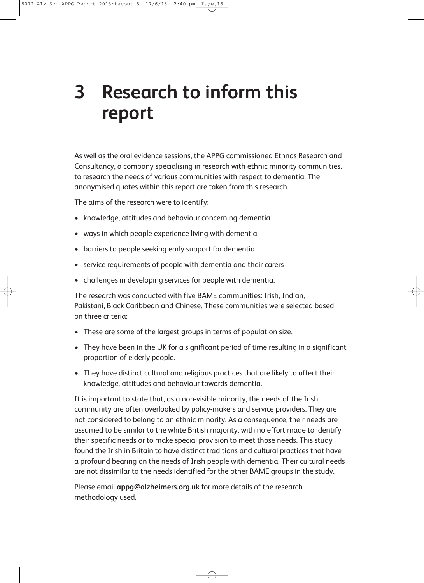# **3 Research to inform this report**

As well as the oral evidence sessions, the APPG commissioned Ethnos Research and Consultancy, a company specialising in research with ethnic minority communities, to research the needs of various communities with respect to dementia. The anonymised quotes within this report are taken from this research.

The aims of the research were to identify:

- knowledge, attitudes and behaviour concerning dementia
- ways in which people experience living with dementia
- barriers to people seeking early support for dementia
- service requirements of people with dementia and their carers
- challenges in developing services for people with dementia.

The research was conducted with five BAME communities: Irish, Indian, Pakistani, Black Caribbean and Chinese. These communities were selected based on three criteria:

- These are some of the largest groups in terms of population size.
- They have been in the UK for a significant period of time resulting in a significant proportion of elderly people.
- They have distinct cultural and religious practices that are likely to affect their knowledge, attitudes and behaviour towards dementia.

It is important to state that, as a non-visible minority, the needs of the Irish community are often overlooked by policy-makers and service providers. They are not considered to belong to an ethnic minority. As a consequence, their needs are assumed to be similar to the white British majority, with no effort made to identify their specific needs or to make special provision to meet those needs. This study found the Irish in Britain to have distinct traditions and cultural practices that have a profound bearing on the needs of Irish people with dementia. Their cultural needs are not dissimilar to the needs identified for the other BAME groups in the study.

Please email **appg@alzheimers.org.uk** for more details of the research methodology used.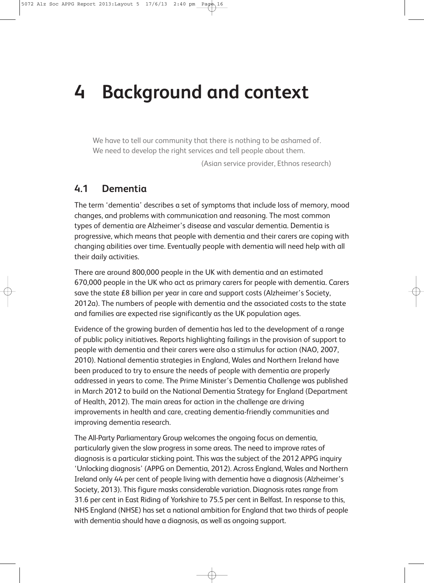# **4 Background and context**

We have to tell our community that there is nothing to be ashamed of. We need to develop the right services and tell people about them.

(Asian service provider, Ethnos research)

#### **4.1 Dementia**

The term 'dementia' describes a set of symptoms that include loss of memory, mood changes, and problems with communication and reasoning. The most common types of dementia are Alzheimer's disease and vascular dementia. Dementia is progressive, which means that people with dementia and their carers are coping with changing abilities over time. Eventually people with dementia will need help with all their daily activities.

There are around 800,000 people in the UK with dementia and an estimated 670,000 people in the UK who act as primary carers for people with dementia. Carers save the state £8 billion per year in care and support costs (Alzheimer's Society, 2012a). The numbers of people with dementia and the associated costs to the state and families are expected rise significantly as the UK population ages.

Evidence of the growing burden of dementia has led to the development of a range of public policy initiatives. Reports highlighting failings in the provision of support to people with dementia and their carers were also a stimulus for action (NAO, 2007, 2010). National dementia strategies in England, Wales and Northern Ireland have been produced to try to ensure the needs of people with dementia are properly addressed in years to come. The Prime Minister's Dementia Challenge was published in March 2012 to build on the National Dementia Strategy for England (Department of Health, 2012). The main areas for action in the challenge are driving improvements in health and care, creating dementia-friendly communities and improving dementia research.

The All-Party Parliamentary Group welcomes the ongoing focus on dementia, particularly given the slow progress in some areas. The need to improve rates of diagnosis is a particular sticking point. This was the subject of the 2012 APPG inquiry 'Unlocking diagnosis' (APPG on Dementia, 2012). Across England, Wales and Northern Ireland only 44 per cent of people living with dementia have a diagnosis (Alzheimer's Society, 2013). This figure masks considerable variation. Diagnosis rates range from 31.6 per cent in East Riding of Yorkshire to 75.5 per cent in Belfast. In response to this, NHS England (NHSE) has set a national ambition for England that two thirds of people with dementia should have a diagnosis, as well as ongoing support.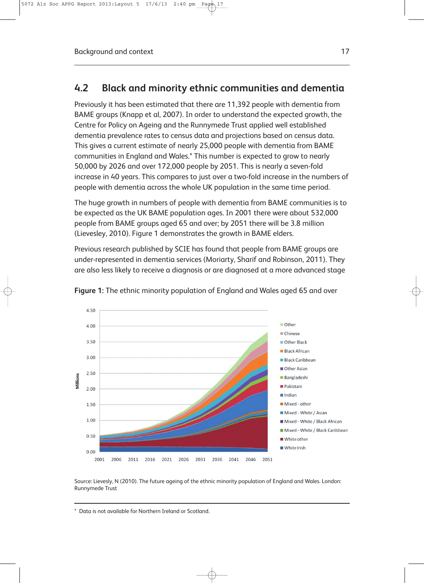#### **4.2 Black and minority ethnic communities and dementia**

Previously it has been estimated that there are 11,392 people with dementia from BAME groups (Knapp et al, 2007). In order to understand the expected growth, the Centre for Policy on Ageing and the Runnymede Trust applied well established dementia prevalence rates to census data and projections based on census data. This gives a current estimate of nearly 25,000 people with dementia from BAME communities in England and Wales.\* This number is expected to grow to nearly 50,000 by 2026 and over 172,000 people by 2051. This is nearly a seven-fold increase in 40 years. This compares to just over a two-fold increase in the numbers of people with dementia across the whole UK population in the same time period.

The huge growth in numbers of people with dementia from BAME communities is to be expected as the UK BAME population ages. In 2001 there were about 532,000 people from BAME groups aged 65 and over; by 2051 there will be 3.8 million (Lievesley, 2010). Figure 1 demonstrates the growth in BAME elders.

Previous research published by SCIE has found that people from BAME groups are under-represented in dementia services (Moriarty, Sharif and Robinson, 2011). They are also less likely to receive a diagnosis or are diagnosed at a more advanced stage



**Figure 1:** The ethnic minority population of England and Wales aged 65 and over

Source: Lievesly, N (2010). The future ageing of the ethnic minority population of England and Wales. London: Runnymede Trust

<sup>\*</sup> Data is not available for Northern Ireland or Scotland.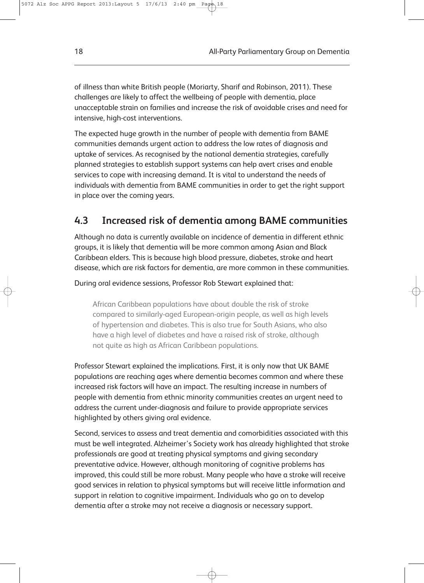of illness than white British people (Moriarty, Sharif and Robinson, 2011). These challenges are likely to affect the wellbeing of people with dementia, place unacceptable strain on families and increase the risk of avoidable crises and need for intensive, high-cost interventions.

The expected huge growth in the number of people with dementia from BAME communities demands urgent action to address the low rates of diagnosis and uptake of services. As recognised by the national dementia strategies, carefully planned strategies to establish support systems can help avert crises and enable services to cope with increasing demand. It is vital to understand the needs of individuals with dementia from BAME communities in order to get the right support in place over the coming years.

#### **4.3 Increased risk of dementia among BAME communities**

Although no data is currently available on incidence of dementia in different ethnic groups, it is likely that dementia will be more common among Asian and Black Caribbean elders. This is because high blood pressure, diabetes, stroke and heart disease, which are risk factors for dementia, are more common in these communities.

During oral evidence sessions, Professor Rob Stewart explained that:

African Caribbean populations have about double the risk of stroke compared to similarly-aged European-origin people, as well as high levels of hypertension and diabetes. This is also true for South Asians, who also have a high level of diabetes and have a raised risk of stroke, although not quite as high as African Caribbean populations.

Professor Stewart explained the implications. First, it is only now that UK BAME populations are reaching ages where dementia becomes common and where these increased risk factors will have an impact. The resulting increase in numbers of people with dementia from ethnic minority communities creates an urgent need to address the current under-diagnosis and failure to provide appropriate services highlighted by others giving oral evidence.

Second, services to assess and treat dementia and comorbidities associated with this must be well integrated. Alzheimer's Society work has already highlighted that stroke professionals are good at treating physical symptoms and giving secondary preventative advice. However, although monitoring of cognitive problems has improved, this could still be more robust. Many people who have a stroke will receive good services in relation to physical symptoms but will receive little information and support in relation to cognitive impairment. Individuals who go on to develop dementia after a stroke may not receive a diagnosis or necessary support.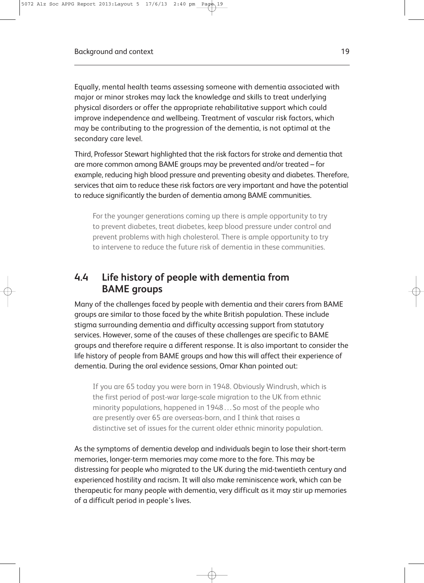Equally, mental health teams assessing someone with dementia associated with major or minor strokes may lack the knowledge and skills to treat underlying physical disorders or offer the appropriate rehabilitative support which could improve independence and wellbeing. Treatment of vascular risk factors, which may be contributing to the progression of the dementia, is not optimal at the secondary care level.

Third, Professor Stewart highlighted that the risk factors for stroke and dementia that are more common among BAME groups may be prevented and/or treated – for example, reducing high blood pressure and preventing obesity and diabetes. Therefore, services that aim to reduce these risk factors are very important and have the potential to reduce significantly the burden of dementia among BAME communities.

For the younger generations coming up there is ample opportunity to try to prevent diabetes, treat diabetes, keep blood pressure under control and prevent problems with high cholesterol. There is ample opportunity to try to intervene to reduce the future risk of dementia in these communities.

#### **4.4 Life history of people with dementia from BAME groups**

Many of the challenges faced by people with dementia and their carers from BAME groups are similar to those faced by the white British population. These include stigma surrounding dementia and difficulty accessing support from statutory services. However, some of the causes of these challenges are specific to BAME groups and therefore require a different response. It is also important to consider the life history of people from BAME groups and how this will affect their experience of dementia. During the oral evidence sessions, Omar Khan pointed out:

If you are 65 today you were born in 1948. Obviously Windrush, which is the first period of post-war large-scale migration to the UK from ethnic minority populations, happened in 1948 . . . So most of the people who are presently over 65 are overseas-born, and I think that raises a distinctive set of issues for the current older ethnic minority population.

As the symptoms of dementia develop and individuals begin to lose their short-term memories, longer-term memories may come more to the fore. This may be distressing for people who migrated to the UK during the mid-twentieth century and experienced hostility and racism. It will also make reminiscence work, which can be therapeutic for many people with dementia, very difficult as it may stir up memories of a difficult period in people's lives.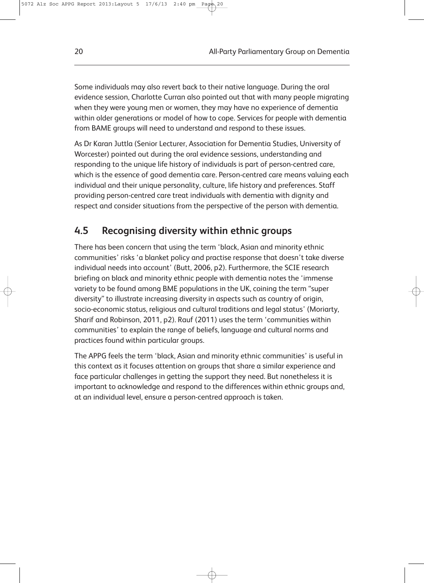Some individuals may also revert back to their native language. During the oral evidence session, Charlotte Curran also pointed out that with many people migrating when they were young men or women, they may have no experience of dementia within older generations or model of how to cope. Services for people with dementia from BAME groups will need to understand and respond to these issues.

As Dr Karan Juttla (Senior Lecturer, Association for Dementia Studies, University of Worcester) pointed out during the oral evidence sessions, understanding and responding to the unique life history of individuals is part of person-centred care, which is the essence of good dementia care. Person-centred care means valuing each individual and their unique personality, culture, life history and preferences. Staff providing person-centred care treat individuals with dementia with dignity and respect and consider situations from the perspective of the person with dementia.

#### **4.5 Recognising diversity within ethnic groups**

There has been concern that using the term 'black, Asian and minority ethnic communities' risks 'a blanket policy and practise response that doesn't take diverse individual needs into account' (Butt, 2006, p2). Furthermore, the SCIE research briefing on black and minority ethnic people with dementia notes the 'immense variety to be found among BME populations in the UK, coining the term "super diversity" to illustrate increasing diversity in aspects such as country of origin, socio-economic status, religious and cultural traditions and legal status' (Moriarty, Sharif and Robinson, 2011, p2). Rauf (2011) uses the term 'communities within communities' to explain the range of beliefs, language and cultural norms and practices found within particular groups.

The APPG feels the term 'black, Asian and minority ethnic communities' is useful in this context as it focuses attention on groups that share a similar experience and face particular challenges in getting the support they need. But nonetheless it is important to acknowledge and respond to the differences within ethnic groups and, at an individual level, ensure a person-centred approach is taken.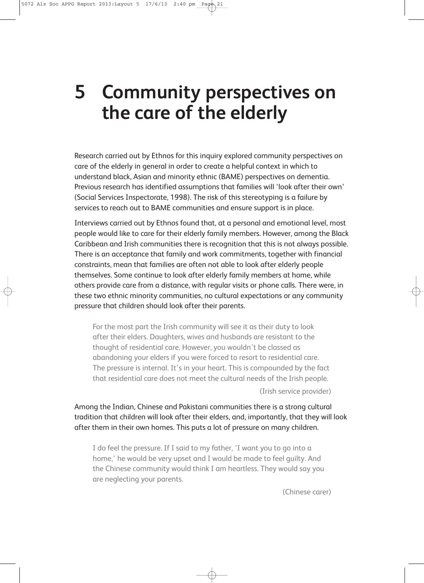## **5 Community perspectives on the care of the elderly**

Research carried out by Ethnos for this inquiry explored community perspectives on care of the elderly in general in order to create a helpful context in which to understand black, Asian and minority ethnic (BAME) perspectives on dementia. Previous research has identified assumptions that families will 'look after their own' (Social Services Inspectorate, 1998). The risk of this stereotyping is a failure by services to reach out to BAME communities and ensure support is in place.

Interviews carried out by Ethnos found that, at a personal and emotional level, most people would like to care for their elderly family members. However, among the Black Caribbean and Irish communities there is recognition that this is not always possible. There is an acceptance that family and work commitments, together with financial constraints, mean that families are often not able to look after elderly people themselves. Some continue to look after elderly family members at home, while others provide care from a distance, with regular visits or phone calls. There were, in these two ethnic minority communities, no cultural expectations or any community pressure that children should look after their parents.

For the most part the Irish community will see it as their duty to look after their elders. Daughters, wives and husbands are resistant to the thought of residential care. However, you wouldn't be classed as abandoning your elders if you were forced to resort to residential care. The pressure is internal. It's in your heart. This is compounded by the fact that residential care does not meet the cultural needs of the Irish people.

(Irish service provider)

Among the Indian, Chinese and Pakistani communities there is a strong cultural tradition that children will look after their elders, and, importantly, that they will look after them in their own homes. This puts a lot of pressure on many children.

I do feel the pressure. If I said to my father, 'I want you to go into a home,' he would be very upset and I would be made to feel guilty. And the Chinese community would think I am heartless. They would say you are neglecting your parents.

(Chinese carer)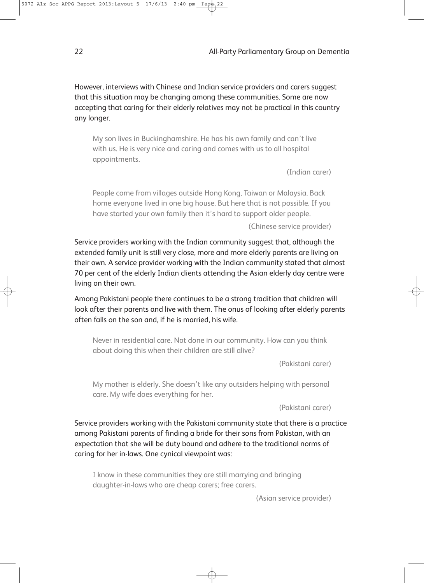However, interviews with Chinese and Indian service providers and carers suggest that this situation may be changing among these communities. Some are now accepting that caring for their elderly relatives may not be practical in this country any longer.

My son lives in Buckinghamshire. He has his own family and can't live with us. He is very nice and caring and comes with us to all hospital appointments.

(Indian carer)

People come from villages outside Hong Kong, Taiwan or Malaysia. Back home everyone lived in one big house. But here that is not possible. If you have started your own family then it's hard to support older people.

(Chinese service provider)

Service providers working with the Indian community suggest that, although the extended family unit is still very close, more and more elderly parents are living on their own. A service provider working with the Indian community stated that almost 70 per cent of the elderly Indian clients attending the Asian elderly day centre were living on their own.

Among Pakistani people there continues to be a strong tradition that children will look after their parents and live with them. The onus of looking after elderly parents often falls on the son and, if he is married, his wife.

Never in residential care. Not done in our community. How can you think about doing this when their children are still alive?

(Pakistani carer)

My mother is elderly. She doesn't like any outsiders helping with personal care. My wife does everything for her.

(Pakistani carer)

Service providers working with the Pakistani community state that there is a practice among Pakistani parents of finding a bride for their sons from Pakistan, with an expectation that she will be duty bound and adhere to the traditional norms of caring for her in-laws. One cynical viewpoint was:

I know in these communities they are still marrying and bringing daughter-in-laws who are cheap carers; free carers.

(Asian service provider)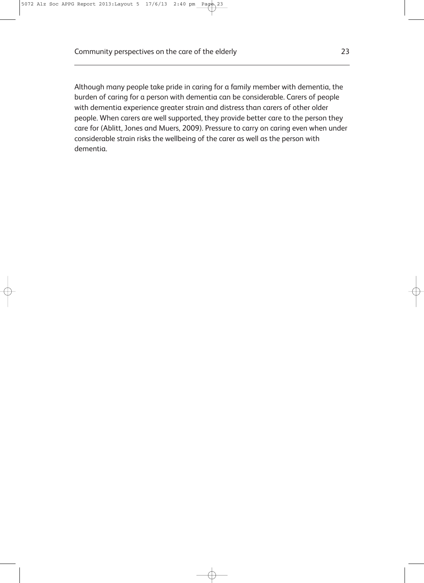Although many people take pride in caring for a family member with dementia, the burden of caring for a person with dementia can be considerable. Carers of people with dementia experience greater strain and distress than carers of other older people. When carers are well supported, they provide better care to the person they care for (Ablitt, Jones and Muers, 2009). Pressure to carry on caring even when under considerable strain risks the wellbeing of the carer as well as the person with dementia.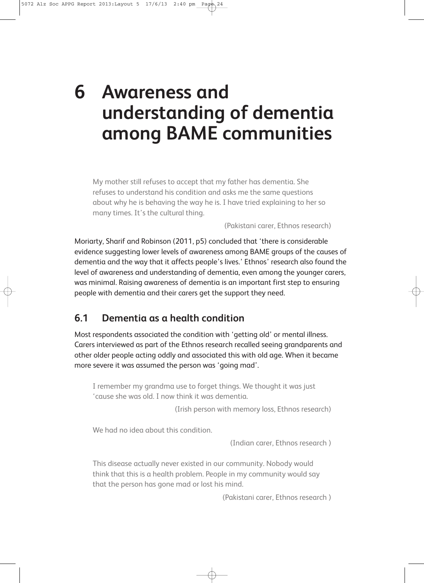# **6 Awareness and understanding of dementia among BAME communities**

My mother still refuses to accept that my father has dementia. She refuses to understand his condition and asks me the same questions about why he is behaving the way he is. I have tried explaining to her so many times. It's the cultural thing.

(Pakistani carer, Ethnos research)

Moriarty, Sharif and Robinson (2011, p5) concluded that 'there is considerable evidence suggesting lower levels of awareness among BAME groups of the causes of dementia and the way that it affects people's lives.' Ethnos' research also found the level of awareness and understanding of dementia, even among the younger carers, was minimal. Raising awareness of dementia is an important first step to ensuring people with dementia and their carers get the support they need.

#### **6.1 Dementia as a health condition**

Most respondents associated the condition with 'getting old' or mental illness. Carers interviewed as part of the Ethnos research recalled seeing grandparents and other older people acting oddly and associated this with old age. When it became more severe it was assumed the person was 'going mad'.

I remember my grandma use to forget things. We thought it was just 'cause she was old. I now think it was dementia.

(Irish person with memory loss, Ethnos research)

We had no idea about this condition.

(Indian carer, Ethnos research )

This disease actually never existed in our community. Nobody would think that this is a health problem. People in my community would say that the person has gone mad or lost his mind.

(Pakistani carer, Ethnos research )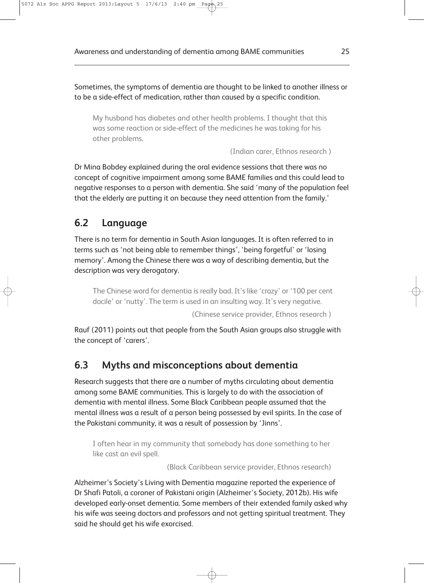Sometimes, the symptoms of dementia are thought to be linked to another illness or to be a side-effect of medication, rather than caused by a specific condition.

My husband has diabetes and other health problems. I thought that this was some reaction or side-effect of the medicines he was taking for his other problems.

(Indian carer, Ethnos research )

Dr Mina Bobdey explained during the oral evidence sessions that there was no concept of cognitive impairment among some BAME families and this could lead to negative responses to a person with dementia. She said 'many of the population feel that the elderly are putting it on because they need attention from the family.'

#### **6.2 Language**

There is no term for dementia in South Asian languages. It is often referred to in terms such as 'not being able to remember things', 'being forgetful' or 'losing memory'. Among the Chinese there was a way of describing dementia, but the description was very derogatory.

The Chinese word for dementia is really bad. It's like 'crazy' or '100 per cent docile' or 'nutty'. The term is used in an insulting way. It's very negative.

(Chinese service provider, Ethnos research )

Rauf (2011) points out that people from the South Asian groups also struggle with the concept of 'carers'.

#### **6.3 Myths and misconceptions about dementia**

Research suggests that there are a number of myths circulating about dementia among some BAME communities. This is largely to do with the association of dementia with mental illness. Some Black Caribbean people assumed that the mental illness was a result of a person being possessed by evil spirits. In the case of the Pakistani community, it was a result of possession by 'Jinns'.

I often hear in my community that somebody has done something to her like cast an evil spell.

(Black Caribbean service provider, Ethnos research)

Alzheimer's Society's Living with Dementia magazine reported the experience of Dr Shafi Patoli, a coroner of Pakistani origin (Alzheimer's Society, 2012b). His wife developed early-onset dementia. Some members of their extended family asked why his wife was seeing doctors and professors and not getting spiritual treatment. They said he should get his wife exorcised.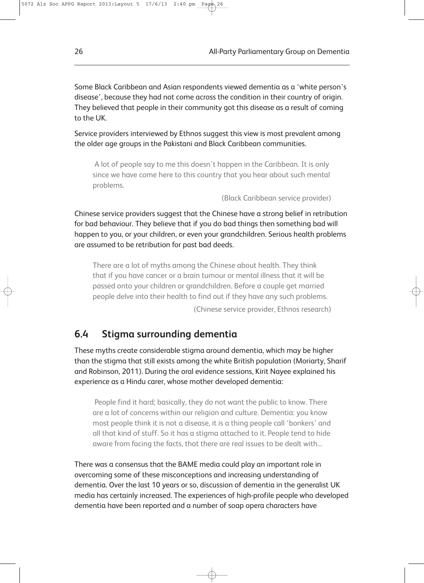Some Black Caribbean and Asian respondents viewed dementia as a 'white person's disease', because they had not come across the condition in their country of origin. They believed that people in their community got this disease as a result of coming to the UK.

Service providers interviewed by Ethnos suggest this view is most prevalent among the older age groups in the Pakistani and Black Caribbean communities.

A lot of people say to me this doesn't happen in the Caribbean. It is only since we have come here to this country that you hear about such mental problems.

(Black Caribbean service provider)

Chinese service providers suggest that the Chinese have a strong belief in retribution for bad behaviour. They believe that if you do bad things then something bad will happen to you, or your children, or even your grandchildren. Serious health problems are assumed to be retribution for past bad deeds.

There are a lot of myths among the Chinese about health. They think that if you have cancer or a brain tumour or mental illness that it will be passed onto your children or grandchildren. Before a couple get married people delve into their health to find out if they have any such problems.

(Chinese service provider, Ethnos research)

#### **6.4 Stigma surrounding dementia**

These myths create considerable stigma around dementia, which may be higher than the stigma that still exists among the white British population (Moriarty, Sharif and Robinson, 2011). During the oral evidence sessions, Kirit Nayee explained his experience as a Hindu carer, whose mother developed dementia:

People find it hard; basically, they do not want the public to know. There are a lot of concerns within our religion and culture. Dementia: you know most people think it is not a disease, it is a thing people call 'bonkers' and all that kind of stuff. So it has a stigma attached to it. People tend to hide aware from facing the facts, that there are real issues to be dealt with...

There was a consensus that the BAME media could play an important role in overcoming some of these misconceptions and increasing understanding of dementia. Over the last 10 years or so, discussion of dementia in the generalist UK media has certainly increased. The experiences of high-profile people who developed dementia have been reported and a number of soap opera characters have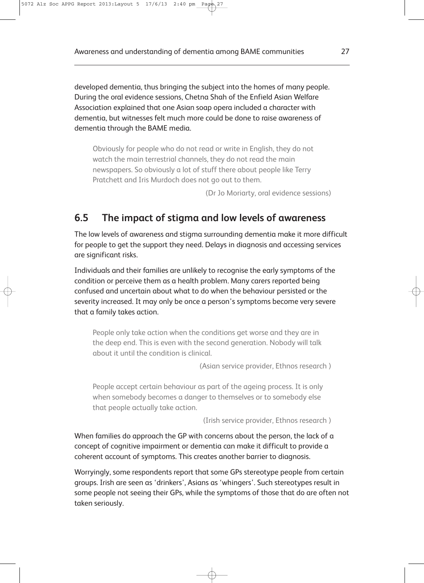developed dementia, thus bringing the subject into the homes of many people. During the oral evidence sessions, Chetna Shah of the Enfield Asian Welfare Association explained that one Asian soap opera included a character with dementia, but witnesses felt much more could be done to raise awareness of dementia through the BAME media.

Obviously for people who do not read or write in English, they do not watch the main terrestrial channels, they do not read the main newspapers. So obviously a lot of stuff there about people like Terry Pratchett and Iris Murdoch does not go out to them.

(Dr Jo Moriarty, oral evidence sessions)

#### **6.5 The impact of stigma and low levels of awareness**

The low levels of awareness and stigma surrounding dementia make it more difficult for people to get the support they need. Delays in diagnosis and accessing services are significant risks.

Individuals and their families are unlikely to recognise the early symptoms of the condition or perceive them as a health problem. Many carers reported being confused and uncertain about what to do when the behaviour persisted or the severity increased. It may only be once a person's symptoms become very severe that a family takes action.

People only take action when the conditions get worse and they are in the deep end. This is even with the second generation. Nobody will talk about it until the condition is clinical.

(Asian service provider, Ethnos research )

People accept certain behaviour as part of the ageing process. It is only when somebody becomes a danger to themselves or to somebody else that people actually take action.

(Irish service provider, Ethnos research )

When families do approach the GP with concerns about the person, the lack of a concept of cognitive impairment or dementia can make it difficult to provide a coherent account of symptoms. This creates another barrier to diagnosis.

Worryingly, some respondents report that some GPs stereotype people from certain groups. Irish are seen as 'drinkers', Asians as 'whingers'. Such stereotypes result in some people not seeing their GPs, while the symptoms of those that do are often not taken seriously.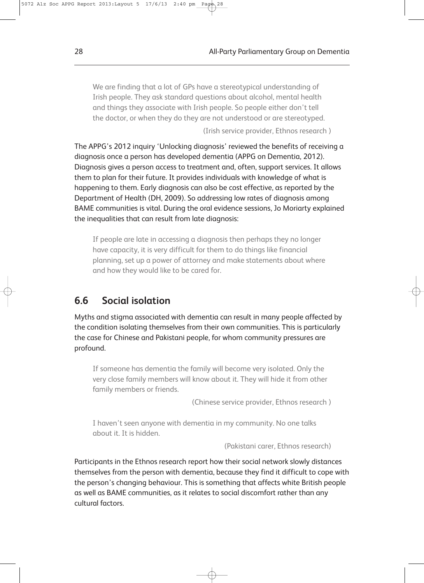We are finding that a lot of GPs have a stereotypical understanding of Irish people. They ask standard questions about alcohol, mental health and things they associate with Irish people. So people either don't tell the doctor, or when they do they are not understood or are stereotyped.

(Irish service provider, Ethnos research )

The APPG's 2012 inquiry 'Unlocking diagnosis' reviewed the benefits of receiving a diagnosis once a person has developed dementia (APPG on Dementia, 2012). Diagnosis gives a person access to treatment and, often, support services. It allows them to plan for their future. It provides individuals with knowledge of what is happening to them. Early diagnosis can also be cost effective, as reported by the Department of Health (DH, 2009). So addressing low rates of diagnosis among BAME communities is vital. During the oral evidence sessions, Jo Moriarty explained the inequalities that can result from late diagnosis:

If people are late in accessing a diagnosis then perhaps they no longer have capacity, it is very difficult for them to do things like financial planning, set up a power of attorney and make statements about where and how they would like to be cared for.

#### **6.6 Social isolation**

Myths and stigma associated with dementia can result in many people affected by the condition isolating themselves from their own communities. This is particularly the case for Chinese and Pakistani people, for whom community pressures are profound.

If someone has dementia the family will become very isolated. Only the very close family members will know about it. They will hide it from other family members or friends.

(Chinese service provider, Ethnos research )

I haven't seen anyone with dementia in my community. No one talks about it. It is hidden.

(Pakistani carer, Ethnos research)

Participants in the Ethnos research report how their social network slowly distances themselves from the person with dementia, because they find it difficult to cope with the person's changing behaviour. This is something that affects white British people as well as BAME communities, as it relates to social discomfort rather than any cultural factors.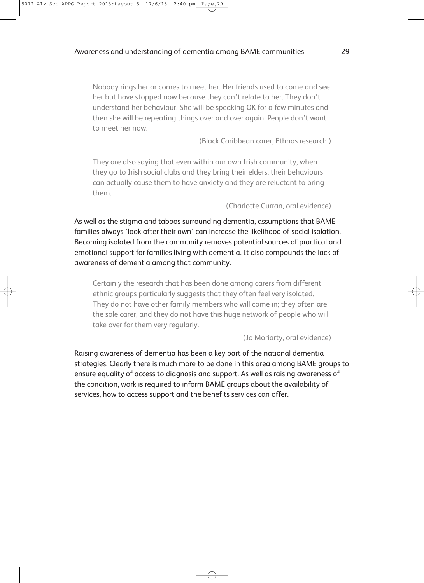Nobody rings her or comes to meet her. Her friends used to come and see her but have stopped now because they can't relate to her. They don't understand her behaviour. She will be speaking OK for a few minutes and then she will be repeating things over and over again. People don't want to meet her now.

(Black Caribbean carer, Ethnos research )

They are also saying that even within our own Irish community, when they go to Irish social clubs and they bring their elders, their behaviours can actually cause them to have anxiety and they are reluctant to bring them.

(Charlotte Curran, oral evidence)

As well as the stigma and taboos surrounding dementia, assumptions that BAME families always 'look after their own' can increase the likelihood of social isolation. Becoming isolated from the community removes potential sources of practical and emotional support for families living with dementia. It also compounds the lack of awareness of dementia among that community.

Certainly the research that has been done among carers from different ethnic groups particularly suggests that they often feel very isolated. They do not have other family members who will come in; they often are the sole carer, and they do not have this huge network of people who will take over for them very regularly.

(Jo Moriarty, oral evidence)

Raising awareness of dementia has been a key part of the national dementia strategies. Clearly there is much more to be done in this area among BAME groups to ensure equality of access to diagnosis and support. As well as raising awareness of the condition, work is required to inform BAME groups about the availability of services, how to access support and the benefits services can offer.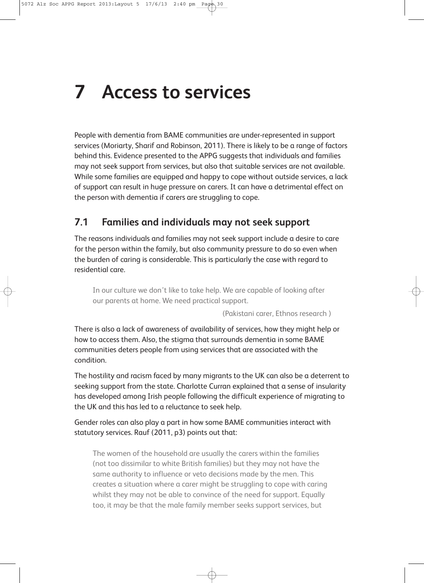# **7 Access to services**

People with dementia from BAME communities are under-represented in support services (Moriarty, Sharif and Robinson, 2011). There is likely to be a range of factors behind this. Evidence presented to the APPG suggests that individuals and families may not seek support from services, but also that suitable services are not available. While some families are equipped and happy to cope without outside services, a lack of support can result in huge pressure on carers. It can have a detrimental effect on the person with dementia if carers are struggling to cope.

#### **7.1 Families and individuals may not seek support**

The reasons individuals and families may not seek support include a desire to care for the person within the family, but also community pressure to do so even when the burden of caring is considerable. This is particularly the case with regard to residential care.

In our culture we don't like to take help. We are capable of looking after our parents at home. We need practical support.

(Pakistani carer, Ethnos research )

There is also a lack of awareness of availability of services, how they might help or how to access them. Also, the stigma that surrounds dementia in some BAME communities deters people from using services that are associated with the condition.

The hostility and racism faced by many migrants to the UK can also be a deterrent to seeking support from the state. Charlotte Curran explained that a sense of insularity has developed among Irish people following the difficult experience of migrating to the UK and this has led to a reluctance to seek help.

Gender roles can also play a part in how some BAME communities interact with statutory services. Rauf (2011, p3) points out that:

The women of the household are usually the carers within the families (not too dissimilar to white British families) but they may not have the same authority to influence or veto decisions made by the men. This creates a situation where a carer might be struggling to cope with caring whilst they may not be able to convince of the need for support. Equally too, it may be that the male family member seeks support services, but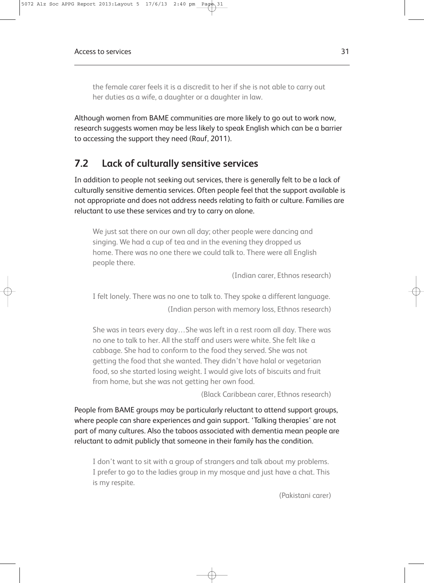the female carer feels it is a discredit to her if she is not able to carry out her duties as a wife, a daughter or a daughter in law.

Although women from BAME communities are more likely to go out to work now, research suggests women may be less likely to speak English which can be a barrier to accessing the support they need (Rauf, 2011).

#### **7.2 Lack of culturally sensitive services**

In addition to people not seeking out services, there is generally felt to be a lack of culturally sensitive dementia services. Often people feel that the support available is not appropriate and does not address needs relating to faith or culture. Families are reluctant to use these services and try to carry on alone.

We just sat there on our own all day; other people were dancing and singing. We had a cup of tea and in the evening they dropped us home. There was no one there we could talk to. There were all English people there.

(Indian carer, Ethnos research)

I felt lonely. There was no one to talk to. They spoke a different language.

(Indian person with memory loss, Ethnos research)

She was in tears every day…She was left in a rest room all day. There was no one to talk to her. All the staff and users were white. She felt like a cabbage. She had to conform to the food they served. She was not getting the food that she wanted. They didn't have halal or vegetarian food, so she started losing weight. I would give lots of biscuits and fruit from home, but she was not getting her own food.

(Black Caribbean carer, Ethnos research)

People from BAME groups may be particularly reluctant to attend support groups, where people can share experiences and gain support. 'Talking therapies' are not part of many cultures. Also the taboos associated with dementia mean people are reluctant to admit publicly that someone in their family has the condition.

I don't want to sit with a group of strangers and talk about my problems. I prefer to go to the ladies group in my mosque and just have a chat. This is my respite.

(Pakistani carer)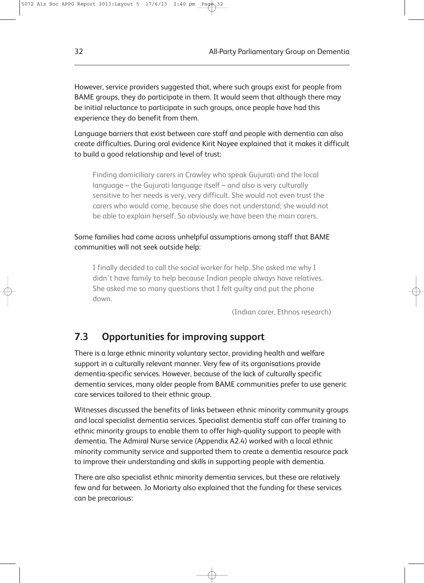However, service providers suggested that, where such groups exist for people from BAME groups, they do participate in them. It would seem that although there may be initial reluctance to participate in such groups, once people have had this experience they do benefit from them.

Language barriers that exist between care staff and people with dementia can also create difficulties. During oral evidence Kirit Nayee explained that it makes it difficult to build a good relationship and level of trust:

Finding domiciliary carers in Crawley who speak Gujurati and the local language – the Gujurati language itself – and also is very culturally sensitive to her needs is very, very difficult. She would not even trust the carers who would come, because she does not understand; she would not be able to explain herself. So obviously we have been the main carers.

Some families had come across unhelpful assumptions among staff that BAME communities will not seek outside help:

I finally decided to call the social worker for help. She asked me why I didn't have family to help because Indian people always have relatives. She asked me so many questions that I felt guilty and put the phone down.

(Indian carer, Ethnos research)

#### **7.3 Opportunities for improving support**

There is a large ethnic minority voluntary sector, providing health and welfare support in a culturally relevant manner. Very few of its organisations provide dementia-specific services. However, because of the lack of culturally specific dementia services, many older people from BAME communities prefer to use generic care services tailored to their ethnic group.

Witnesses discussed the benefits of links between ethnic minority community groups and local specialist dementia services. Specialist dementia staff can offer training to ethnic minority groups to enable them to offer high-quality support to people with dementia. The Admiral Nurse service (Appendix A2.4) worked with a local ethnic minority community service and supported them to create a dementia resource pack to improve their understanding and skills in supporting people with dementia.

There are also specialist ethnic minority dementia services, but these are relatively few and far between. Jo Moriarty also explained that the funding for these services can be precarious: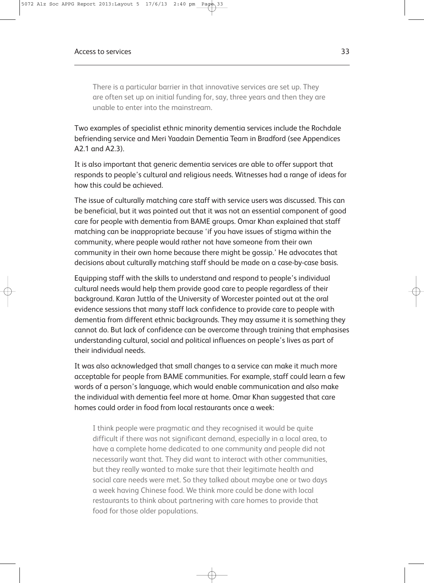There is a particular barrier in that innovative services are set up. They are often set up on initial funding for, say, three years and then they are unable to enter into the mainstream.

Two examples of specialist ethnic minority dementia services include the Rochdale befriending service and Meri Yaadain Dementia Team in Bradford (see Appendices A2.1 and A2.3).

It is also important that generic dementia services are able to offer support that responds to people's cultural and religious needs. Witnesses had a range of ideas for how this could be achieved.

The issue of culturally matching care staff with service users was discussed. This can be beneficial, but it was pointed out that it was not an essential component of good care for people with dementia from BAME groups. Omar Khan explained that staff matching can be inappropriate because 'if you have issues of stigma within the community, where people would rather not have someone from their own community in their own home because there might be gossip.' He advocates that decisions about culturally matching staff should be made on a case-by-case basis.

Equipping staff with the skills to understand and respond to people's individual cultural needs would help them provide good care to people regardless of their background. Karan Juttla of the University of Worcester pointed out at the oral evidence sessions that many staff lack confidence to provide care to people with dementia from different ethnic backgrounds. They may assume it is something they cannot do. But lack of confidence can be overcome through training that emphasises understanding cultural, social and political influences on people's lives as part of their individual needs.

It was also acknowledged that small changes to a service can make it much more acceptable for people from BAME communities. For example, staff could learn a few words of a person's language, which would enable communication and also make the individual with dementia feel more at home. Omar Khan suggested that care homes could order in food from local restaurants once a week:

I think people were pragmatic and they recognised it would be quite difficult if there was not significant demand, especially in a local area, to have a complete home dedicated to one community and people did not necessarily want that. They did want to interact with other communities, but they really wanted to make sure that their legitimate health and social care needs were met. So they talked about maybe one or two days a week having Chinese food. We think more could be done with local restaurants to think about partnering with care homes to provide that food for those older populations.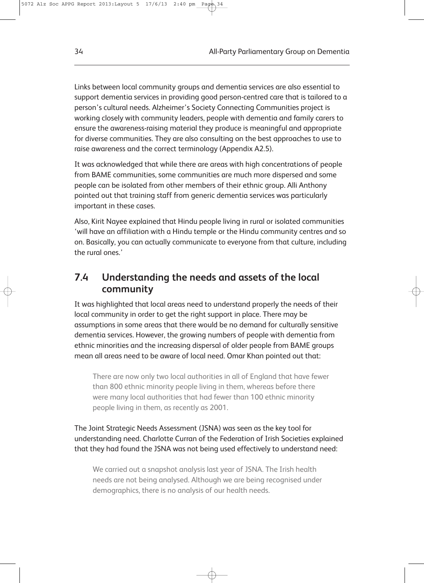Links between local community groups and dementia services are also essential to support dementia services in providing good person-centred care that is tailored to a person's cultural needs. Alzheimer's Society Connecting Communities project is working closely with community leaders, people with dementia and family carers to ensure the awareness-raising material they produce is meaningful and appropriate for diverse communities. They are also consulting on the best approaches to use to raise awareness and the correct terminology (Appendix A2.5).

It was acknowledged that while there are areas with high concentrations of people from BAME communities, some communities are much more dispersed and some people can be isolated from other members of their ethnic group. Alli Anthony pointed out that training staff from generic dementia services was particularly important in these cases.

Also, Kirit Nayee explained that Hindu people living in rural or isolated communities 'will have an affiliation with a Hindu temple or the Hindu community centres and so on. Basically, you can actually communicate to everyone from that culture, including the rural ones.'

#### **7.4 Understanding the needs and assets of the local community**

It was highlighted that local areas need to understand properly the needs of their local community in order to get the right support in place. There may be assumptions in some areas that there would be no demand for culturally sensitive dementia services. However, the growing numbers of people with dementia from ethnic minorities and the increasing dispersal of older people from BAME groups mean all areas need to be aware of local need. Omar Khan pointed out that:

There are now only two local authorities in all of England that have fewer than 800 ethnic minority people living in them, whereas before there were many local authorities that had fewer than 100 ethnic minority people living in them, as recently as 2001.

The Joint Strategic Needs Assessment (JSNA) was seen as the key tool for understanding need. Charlotte Curran of the Federation of Irish Societies explained that they had found the JSNA was not being used effectively to understand need:

We carried out a snapshot analysis last year of JSNA. The Irish health needs are not being analysed. Although we are being recognised under demographics, there is no analysis of our health needs.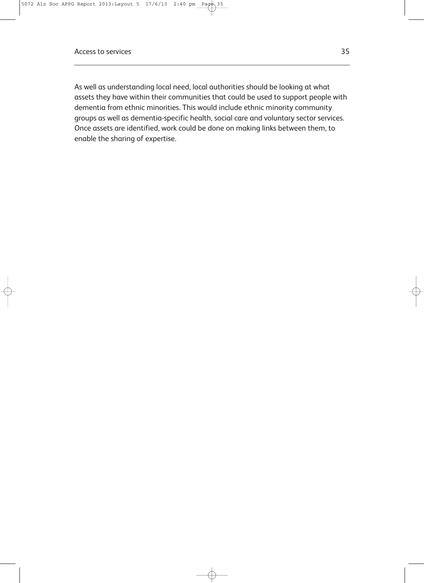As well as understanding local need, local authorities should be looking at what assets they have within their communities that could be used to support people with dementia from ethnic minorities. This would include ethnic minority community groups as well as dementia-specific health, social care and voluntary sector services. Once assets are identified, work could be done on making links between them, to enable the sharing of expertise.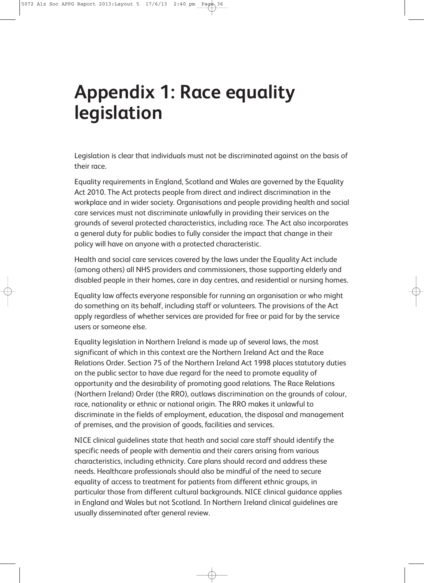## **Appendix 1: Race equality legislation**

Legislation is clear that individuals must not be discriminated against on the basis of their race.

Equality requirements in England, Scotland and Wales are governed by the Equality Act 2010. The Act protects people from direct and indirect discrimination in the workplace and in wider society. Organisations and people providing health and social care services must not discriminate unlawfully in providing their services on the grounds of several protected characteristics, including race. The Act also incorporates a general duty for public bodies to fully consider the impact that change in their policy will have on anyone with a protected characteristic.

Health and social care services covered by the laws under the Equality Act include (among others) all NHS providers and commissioners, those supporting elderly and disabled people in their homes, care in day centres, and residential or nursing homes.

Equality law affects everyone responsible for running an organisation or who might do something on its behalf, including staff or volunteers. The provisions of the Act apply regardless of whether services are provided for free or paid for by the service users or someone else.

Equality legislation in Northern Ireland is made up of several laws, the most significant of which in this context are the Northern Ireland Act and the Race Relations Order. Section 75 of the Northern Ireland Act 1998 places statutory duties on the public sector to have due regard for the need to promote equality of opportunity and the desirability of promoting good relations. The Race Relations (Northern Ireland) Order (the RRO), outlaws discrimination on the grounds of colour, race, nationality or ethnic or national origin. The RRO makes it unlawful to discriminate in the fields of employment, education, the disposal and management of premises, and the provision of goods, facilities and services.

NICE clinical guidelines state that heath and social care staff should identify the specific needs of people with dementia and their carers arising from various characteristics, including ethnicity. Care plans should record and address these needs. Healthcare professionals should also be mindful of the need to secure equality of access to treatment for patients from different ethnic groups, in particular those from different cultural backgrounds. NICE clinical guidance applies in England and Wales but not Scotland. In Northern Ireland clinical guidelines are usually disseminated after general review.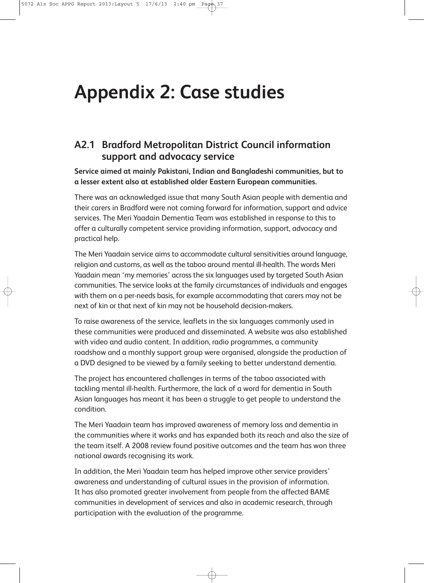## **Appendix 2: Case studies**

#### **A2.1 Bradford Metropolitan District Council information support and advocacy service**

**Service aimed at mainly Pakistani, Indian and Bangladeshi communities, but to a lesser extent also at established older Eastern European communities.**

There was an acknowledged issue that many South Asian people with dementia and their carers in Bradford were not coming forward for information, support and advice services. The Meri Yaadain Dementia Team was established in response to this to offer a culturally competent service providing information, support, advocacy and practical help.

The Meri Yaadain service aims to accommodate cultural sensitivities around language, religion and customs, as well as the taboo around mental ill-health. The words Meri Yaadain mean 'my memories' across the six languages used by targeted South Asian communities. The service looks at the family circumstances of individuals and engages with them on a per-needs basis, for example accommodating that carers may not be next of kin or that next of kin may not be household decision-makers.

To raise awareness of the service, leaflets in the six languages commonly used in these communities were produced and disseminated. A website was also established with video and audio content. In addition, radio programmes, a community roadshow and a monthly support group were organised, alongside the production of a DVD designed to be viewed by a family seeking to better understand dementia.

The project has encountered challenges in terms of the taboo associated with tackling mental ill-health. Furthermore, the lack of a word for dementia in South Asian languages has meant it has been a struggle to get people to understand the condition.

The Meri Yaadain team has improved awareness of memory loss and dementia in the communities where it works and has expanded both its reach and also the size of the team itself. A 2008 review found positive outcomes and the team has won three national awards recognising its work.

In addition, the Meri Yaadain team has helped improve other service providers' awareness and understanding of cultural issues in the provision of information. It has also promoted greater involvement from people from the affected BAME communities in development of services and also in academic research, through participation with the evaluation of the programme.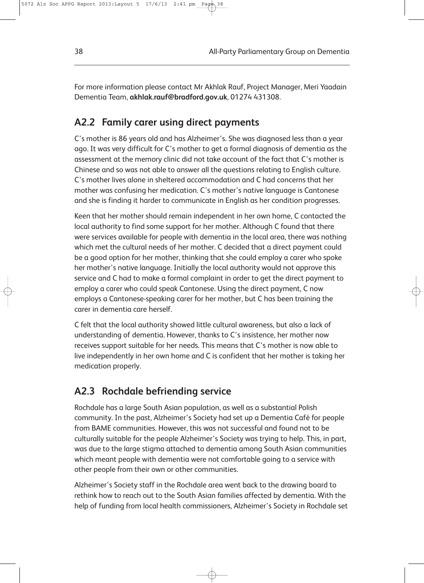For more information please contact Mr Akhlak Rauf, Project Manager, Meri Yaadain Dementia Team, **akhlak.rauf@bradford.gov.uk**, 01274 431308.

#### **A2.2 Family carer using direct payments**

C's mother is 86 years old and has Alzheimer's. She was diagnosed less than a year ago. It was very difficult for C's mother to get a formal diagnosis of dementia as the assessment at the memory clinic did not take account of the fact that C's mother is Chinese and so was not able to answer all the questions relating to English culture. C's mother lives alone in sheltered accommodation and C had concerns that her mother was confusing her medication. C's mother's native language is Cantonese and she is finding it harder to communicate in English as her condition progresses.

Keen that her mother should remain independent in her own home, C contacted the local authority to find some support for her mother. Although C found that there were services available for people with dementia in the local area, there was nothing which met the cultural needs of her mother. C decided that a direct payment could be a good option for her mother, thinking that she could employ a carer who spoke her mother's native language. Initially the local authority would not approve this service and C had to make a formal complaint in order to get the direct payment to employ a carer who could speak Cantonese. Using the direct payment, C now employs a Cantonese-speaking carer for her mother, but C has been training the carer in dementia care herself.

C felt that the local authority showed little cultural awareness, but also a lack of understanding of dementia. However, thanks to C's insistence, her mother now receives support suitable for her needs. This means that C's mother is now able to live independently in her own home and C is confident that her mother is taking her medication properly.

#### **A2.3 Rochdale befriending service**

Rochdale has a large South Asian population, as well as a substantial Polish community. In the past, Alzheimer's Society had set up a Dementia Café for people from BAME communities. However, this was not successful and found not to be culturally suitable for the people Alzheimer's Society was trying to help. This, in part, was due to the large stigma attached to dementia among South Asian communities which meant people with dementia were not comfortable going to a service with other people from their own or other communities.

Alzheimer's Society staff in the Rochdale area went back to the drawing board to rethink how to reach out to the South Asian families affected by dementia. With the help of funding from local health commissioners, Alzheimer's Society in Rochdale set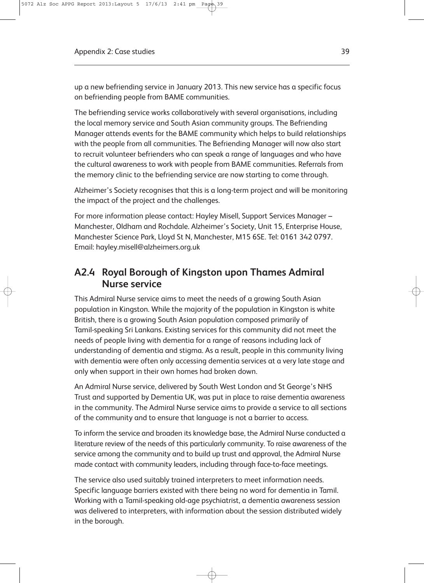up a new befriending service in January 2013. This new service has a specific focus on befriending people from BAME communities.

The befriending service works collaboratively with several organisations, including the local memory service and South Asian community groups. The Befriending Manager attends events for the BAME community which helps to build relationships with the people from all communities. The Befriending Manager will now also start to recruit volunteer befrienders who can speak a range of languages and who have the cultural awareness to work with people from BAME communities. Referrals from the memory clinic to the befriending service are now starting to come through.

Alzheimer's Society recognises that this is a long-term project and will be monitoring the impact of the project and the challenges.

For more information please contact: Hayley Misell, Support Services Manager – Manchester, Oldham and Rochdale. Alzheimer's Society, Unit 15, Enterprise House, Manchester Science Park, Lloyd St N, Manchester, M15 6SE. Tel: 0161 342 0797. Email: hayley.misell@alzheimers.org.uk

#### **A2.4 Royal Borough of Kingston upon Thames Admiral Nurse service**

This Admiral Nurse service aims to meet the needs of a growing South Asian population in Kingston. While the majority of the population in Kingston is white British, there is a growing South Asian population composed primarily of Tamil-speaking Sri Lankans. Existing services for this community did not meet the needs of people living with dementia for a range of reasons including lack of understanding of dementia and stigma. As a result, people in this community living with dementia were often only accessing dementia services at a very late stage and only when support in their own homes had broken down.

An Admiral Nurse service, delivered by South West London and St George's NHS Trust and supported by Dementia UK, was put in place to raise dementia awareness in the community. The Admiral Nurse service aims to provide a service to all sections of the community and to ensure that language is not a barrier to access.

To inform the service and broaden its knowledge base, the Admiral Nurse conducted a literature review of the needs of this particularly community. To raise awareness of the service among the community and to build up trust and approval, the Admiral Nurse made contact with community leaders, including through face-to-face meetings.

The service also used suitably trained interpreters to meet information needs. Specific language barriers existed with there being no word for dementia in Tamil. Working with a Tamil-speaking old-age psychiatrist, a dementia awareness session was delivered to interpreters, with information about the session distributed widely in the borough.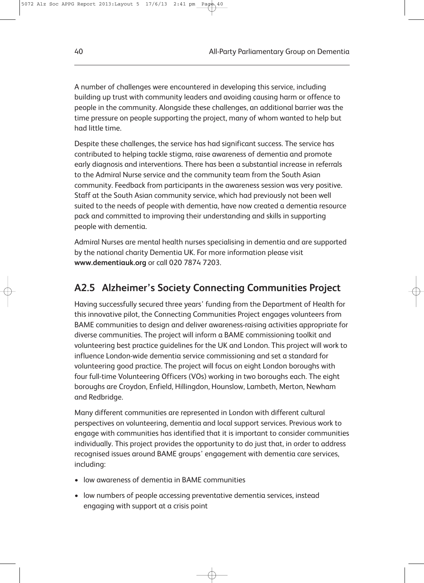A number of challenges were encountered in developing this service, including building up trust with community leaders and avoiding causing harm or offence to people in the community. Alongside these challenges, an additional barrier was the time pressure on people supporting the project, many of whom wanted to help but had little time.

Despite these challenges, the service has had significant success. The service has contributed to helping tackle stigma, raise awareness of dementia and promote early diagnosis and interventions. There has been a substantial increase in referrals to the Admiral Nurse service and the community team from the South Asian community. Feedback from participants in the awareness session was very positive. Staff at the South Asian community service, which had previously not been well suited to the needs of people with dementia, have now created a dementia resource pack and committed to improving their understanding and skills in supporting people with dementia.

Admiral Nurses are mental health nurses specialising in dementia and are supported by the national charity Dementia UK. For more information please visit **www.dementiauk.org** or call 020 7874 7203.

#### **A2.5 Alzheimer's Society Connecting Communities Project**

Having successfully secured three years' funding from the Department of Health for this innovative pilot, the Connecting Communities Project engages volunteers from BAME communities to design and deliver awareness-raising activities appropriate for diverse communities. The project will inform a BAME commissioning toolkit and volunteering best practice guidelines for the UK and London. This project will work to influence London-wide dementia service commissioning and set a standard for volunteering good practice. The project will focus on eight London boroughs with four full-time Volunteering Officers (VOs) working in two boroughs each. The eight boroughs are Croydon, Enfield, Hillingdon, Hounslow, Lambeth, Merton, Newham and Redbridge.

Many different communities are represented in London with different cultural perspectives on volunteering, dementia and local support services. Previous work to engage with communities has identified that it is important to consider communities individually. This project provides the opportunity to do just that, in order to address recognised issues around BAME groups' engagement with dementia care services, including:

- low awareness of dementia in BAME communities
- low numbers of people accessing preventative dementia services, instead engaging with support at a crisis point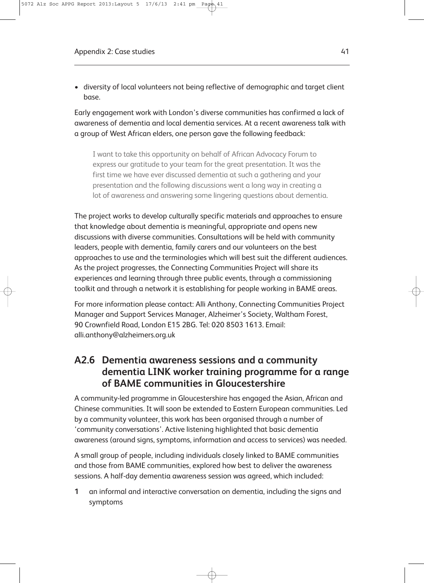• diversity of local volunteers not being reflective of demographic and target client base.

Early engagement work with London's diverse communities has confirmed a lack of awareness of dementia and local dementia services. At a recent awareness talk with a group of West African elders, one person gave the following feedback:

I want to take this opportunity on behalf of African Advocacy Forum to express our gratitude to your team for the great presentation. It was the first time we have ever discussed dementia at such a gathering and your presentation and the following discussions went a long way in creating a lot of awareness and answering some lingering questions about dementia.

The project works to develop culturally specific materials and approaches to ensure that knowledge about dementia is meaningful, appropriate and opens new discussions with diverse communities. Consultations will be held with community leaders, people with dementia, family carers and our volunteers on the best approaches to use and the terminologies which will best suit the different audiences. As the project progresses, the Connecting Communities Project will share its experiences and learning through three public events, through a commissioning toolkit and through a network it is establishing for people working in BAME areas.

For more information please contact: Alli Anthony, Connecting Communities Project Manager and Support Services Manager, Alzheimer's Society, Waltham Forest, 90 Crownfield Road, London E15 2BG. Tel: 020 8503 1613. Email: alli.anthony@alzheimers.org.uk

#### **A2.6 Dementia awareness sessions and a community dementia LINK worker training programme for a range of BAME communities in Gloucestershire**

A community-led programme in Gloucestershire has engaged the Asian, African and Chinese communities. It will soon be extended to Eastern European communities. Led by a community volunteer, this work has been organised through a number of 'community conversations'. Active listening highlighted that basic dementia awareness (around signs, symptoms, information and access to services) was needed.

A small group of people, including individuals closely linked to BAME communities and those from BAME communities, explored how best to deliver the awareness sessions. A half-day dementia awareness session was agreed, which included:

**1** an informal and interactive conversation on dementia, including the signs and symptoms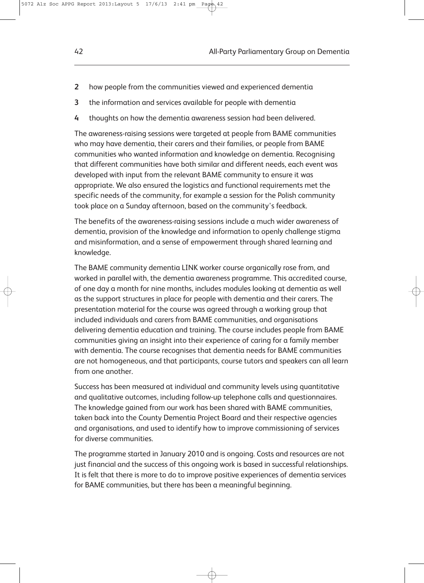- **2** how people from the communities viewed and experienced dementia
- **3** the information and services available for people with dementia
- **4** thoughts on how the dementia awareness session had been delivered.

The awareness-raising sessions were targeted at people from BAME communities who may have dementia, their carers and their families, or people from BAME communities who wanted information and knowledge on dementia. Recognising that different communities have both similar and different needs, each event was developed with input from the relevant BAME community to ensure it was appropriate. We also ensured the logistics and functional requirements met the specific needs of the community, for example a session for the Polish community took place on a Sunday afternoon, based on the community's feedback.

The benefits of the awareness-raising sessions include a much wider awareness of dementia, provision of the knowledge and information to openly challenge stigma and misinformation, and a sense of empowerment through shared learning and knowledge.

The BAME community dementia LINK worker course organically rose from, and worked in parallel with, the dementia awareness programme. This accredited course, of one day a month for nine months, includes modules looking at dementia as well as the support structures in place for people with dementia and their carers. The presentation material for the course was agreed through a working group that included individuals and carers from BAME communities, and organisations delivering dementia education and training. The course includes people from BAME communities giving an insight into their experience of caring for a family member with dementia. The course recognises that dementia needs for BAME communities are not homogeneous, and that participants, course tutors and speakers can all learn from one another.

Success has been measured at individual and community levels using quantitative and qualitative outcomes, including follow-up telephone calls and questionnaires. The knowledge gained from our work has been shared with BAME communities, taken back into the County Dementia Project Board and their respective agencies and organisations, and used to identify how to improve commissioning of services for diverse communities.

The programme started in January 2010 and is ongoing. Costs and resources are not just financial and the success of this ongoing work is based in successful relationships. It is felt that there is more to do to improve positive experiences of dementia services for BAME communities, but there has been a meaningful beginning.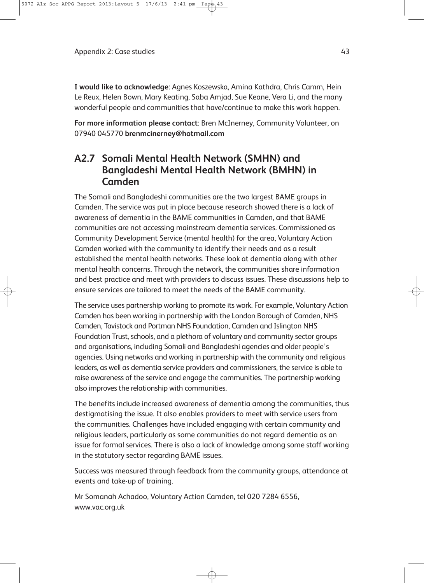**I would like to acknowledge**: Agnes Koszewska, Amina Kathdra, Chris Camm, Hein Le Reux, Helen Bown, Mary Keating, Saba Amjad, Sue Keane, Vera Li, and the many wonderful people and communities that have/continue to make this work happen.

**For more information please contact**: Bren McInerney, Community Volunteer, on 07940 045770 **brenmcinerney@hotmail.com**

#### **A2.7 Somali Mental Health Network (SMHN) and Bangladeshi Mental Health Network (BMHN) in Camden**

The Somali and Bangladeshi communities are the two largest BAME groups in Camden. The service was put in place because research showed there is a lack of awareness of dementia in the BAME communities in Camden, and that BAME communities are not accessing mainstream dementia services. Commissioned as Community Development Service (mental health) for the area, Voluntary Action Camden worked with the community to identify their needs and as a result established the mental health networks. These look at dementia along with other mental health concerns. Through the network, the communities share information and best practice and meet with providers to discuss issues. These discussions help to ensure services are tailored to meet the needs of the BAME community.

The service uses partnership working to promote its work. For example, Voluntary Action Camden has been working in partnership with the London Borough of Camden, NHS Camden, Tavistock and Portman NHS Foundation, Camden and Islington NHS Foundation Trust, schools, and a plethora of voluntary and community sector groups and organisations, including Somali and Bangladeshi agencies and older people's agencies. Using networks and working in partnership with the community and religious leaders, as well as dementia service providers and commissioners, the service is able to raise awareness of the service and engage the communities. The partnership working also improves the relationship with communities.

The benefits include increased awareness of dementia among the communities, thus destigmatising the issue. It also enables providers to meet with service users from the communities. Challenges have included engaging with certain community and religious leaders, particularly as some communities do not regard dementia as an issue for formal services. There is also a lack of knowledge among some staff working in the statutory sector regarding BAME issues.

Success was measured through feedback from the community groups, attendance at events and take-up of training.

Mr Somanah Achadoo, Voluntary Action Camden, tel 020 7284 6556, www.vac.org.uk